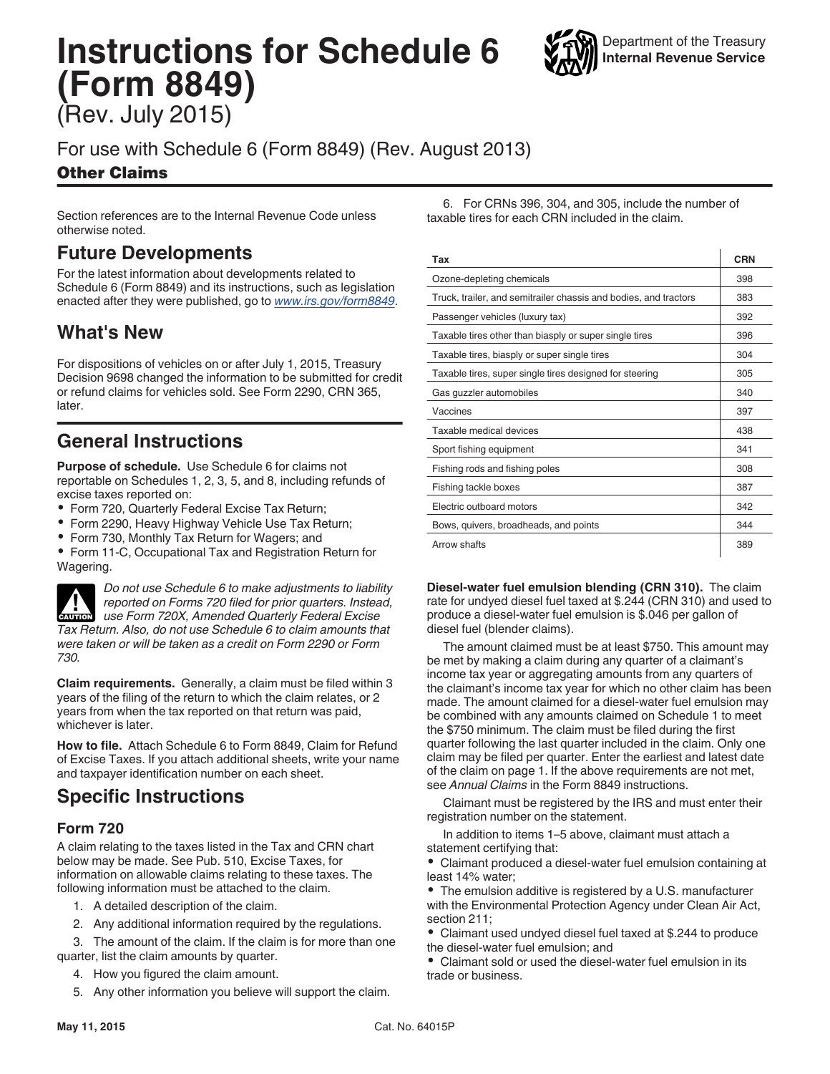# **Instructions for Schedule 6 (Form 8849)**

(Rev. July 2015)

### For use with Schedule 6 (Form 8849) (Rev. August 2013)

#### Other Claims

Section references are to the Internal Revenue Code unless otherwise noted.

### **Future Developments**

For the latest information about developments related to Schedule 6 (Form 8849) and its instructions, such as legislation enacted after they were published, go to *[www.irs.gov/form8849](http://www.irs.gov/form8849)*.

### **What's New**

For dispositions of vehicles on or after July 1, 2015, Treasury Decision 9698 changed the information to be submitted for credit or refund claims for vehicles sold. See Form 2290, CRN 365, later.

## **General Instructions**

**Purpose of schedule.** Use Schedule 6 for claims not reportable on Schedules 1, 2, 3, 5, and 8, including refunds of excise taxes reported on:

- Form 720, Quarterly Federal Excise Tax Return;
- Form 2290, Heavy Highway Vehicle Use Tax Return;
- Form 730, Monthly Tax Return for Wagers; and

Form 11-C, Occupational Tax and Registration Return for Wagering.



*730.*

*Do not use Schedule 6 to make adjustments to liability reported on Forms 720 filed for prior quarters. Instead, use Form 720X, Amended Quarterly Federal Excise Tax Return. Also, do not use Schedule 6 to claim amounts that were taken or will be taken as a credit on Form 2290 or Form* 

**Claim requirements.** Generally, a claim must be filed within 3 years of the filing of the return to which the claim relates, or 2 years from when the tax reported on that return was paid, whichever is later.

**How to file.** Attach Schedule 6 to Form 8849, Claim for Refund of Excise Taxes. If you attach additional sheets, write your name and taxpayer identification number on each sheet.

### **Specific Instructions**

#### **Form 720**

A claim relating to the taxes listed in the Tax and CRN chart below may be made. See Pub. 510, Excise Taxes, for information on allowable claims relating to these taxes. The following information must be attached to the claim.

- 1. A detailed description of the claim.
- 2. Any additional information required by the regulations.

3. The amount of the claim. If the claim is for more than one quarter, list the claim amounts by quarter.

- 4. How you figured the claim amount.
- 5. Any other information you believe will support the claim.

6. For CRNs 396, 304, and 305, include the number of taxable tires for each CRN included in the claim.

| Tax                                                              | <b>CRN</b> |
|------------------------------------------------------------------|------------|
| Ozone-depleting chemicals                                        | 398        |
| Truck, trailer, and semitrailer chassis and bodies, and tractors | 383        |
| Passenger vehicles (luxury tax)                                  | 392        |
| Taxable tires other than biasply or super single tires           | 396        |
| Taxable tires, biasply or super single tires                     | 304        |
| Taxable tires, super single tires designed for steering          | 305        |
| Gas guzzler automobiles                                          | 340        |
| Vaccines                                                         | 397        |
| Taxable medical devices                                          | 438        |
| Sport fishing equipment                                          | 341        |
| Fishing rods and fishing poles                                   | 308        |
| Fishing tackle boxes                                             | 387        |
| Electric outboard motors                                         | 342        |
| Bows, quivers, broadheads, and points                            | 344        |
| Arrow shafts                                                     | 389        |

**Diesel-water fuel emulsion blending (CRN 310).** The claim rate for undyed diesel fuel taxed at \$.244 (CRN 310) and used to produce a diesel-water fuel emulsion is \$.046 per gallon of diesel fuel (blender claims).

The amount claimed must be at least \$750. This amount may be met by making a claim during any quarter of a claimant's income tax year or aggregating amounts from any quarters of the claimant's income tax year for which no other claim has been made. The amount claimed for a diesel-water fuel emulsion may be combined with any amounts claimed on Schedule 1 to meet the \$750 minimum. The claim must be filed during the first quarter following the last quarter included in the claim. Only one claim may be filed per quarter. Enter the earliest and latest date of the claim on page 1. If the above requirements are not met, see *Annual Claims* in the Form 8849 instructions.

Claimant must be registered by the IRS and must enter their registration number on the statement.

In addition to items 1–5 above, claimant must attach a statement certifying that:

Claimant produced a diesel-water fuel emulsion containing at least 14% water;

The emulsion additive is registered by a U.S. manufacturer with the Environmental Protection Agency under Clean Air Act, section 211;

Claimant used undyed diesel fuel taxed at \$.244 to produce the diesel-water fuel emulsion; and

Claimant sold or used the diesel-water fuel emulsion in its trade or business.